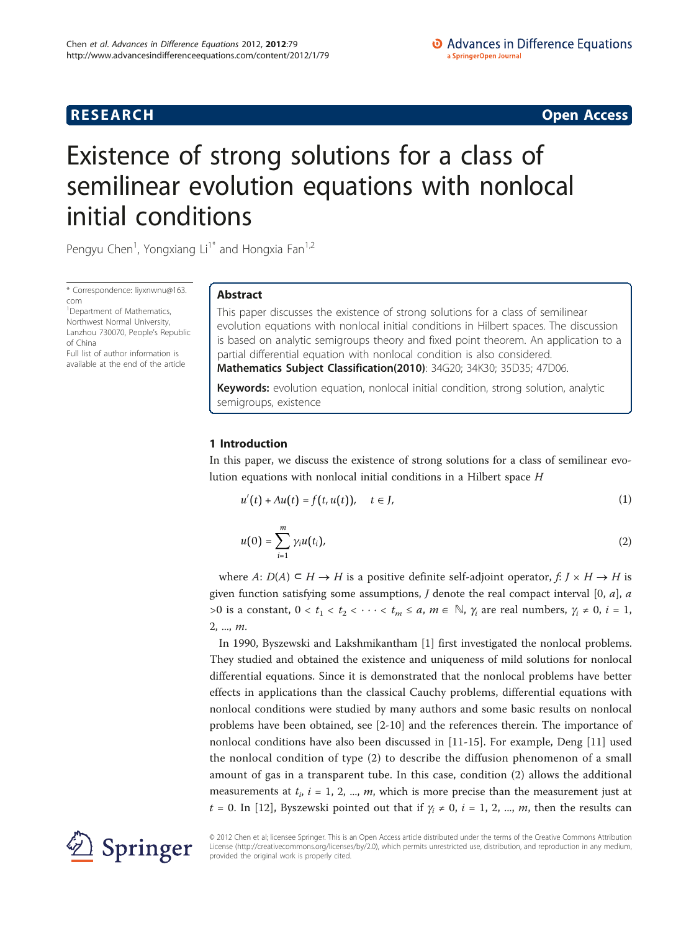# **RESEARCH CONSTRUCTION CONSTRUCTS**

# Existence of strong solutions for a class of semilinear evolution equations with nonlocal initial conditions

Pengyu Chen<sup>1</sup>, Yongxiang Li<sup>1\*</sup> and Hongxia Fan<sup>1,2</sup>

\* Correspondence: [liyxnwnu@163.](mailto:liyxnwnu@163.com) [com](mailto:liyxnwnu@163.com)

<sup>1</sup> Department of Mathematics, Northwest Normal University, Lanzhou 730070, People's Republic of China

Full list of author information is available at the end of the article

# Abstract

This paper discusses the existence of strong solutions for a class of semilinear evolution equations with nonlocal initial conditions in Hilbert spaces. The discussion is based on analytic semigroups theory and fixed point theorem. An application to a partial differential equation with nonlocal condition is also considered. Mathematics Subject Classification(2010): 34G20; 34K30; 35D35; 47D06.

Keywords: evolution equation, nonlocal initial condition, strong solution, analytic semigroups, existence

# 1 Introduction

In this paper, we discuss the existence of strong solutions for a class of semilinear evolution equations with nonlocal initial conditions in a Hilbert space H

$$
u'(t) + Au(t) = f(t, u(t)), \quad t \in J,
$$
 (1)

$$
u(0) = \sum_{i=1}^{m} \gamma_i u(t_i), \qquad (2)
$$

where  $A: D(A) \subseteq H \rightarrow H$  is a positive definite self-adjoint operator,  $f: J \times H \rightarrow H$  is given function satisfying some assumptions,  $J$  denote the real compact interval  $[0, a]$ ,  $a$ >0 is a constant,  $0 < t_1 < t_2 < \cdots < t_m \le a$ ,  $m \in \mathbb{N}$ ,  $\gamma_i$  are real numbers,  $\gamma_i \ne 0$ ,  $i = 1$ , 2, ..., m.

In 1990, Byszewski and Lakshmikantham [\[1](#page-8-0)] first investigated the nonlocal problems. They studied and obtained the existence and uniqueness of mild solutions for nonlocal differential equations. Since it is demonstrated that the nonlocal problems have better effects in applications than the classical Cauchy problems, differential equations with nonlocal conditions were studied by many authors and some basic results on nonlocal problems have been obtained, see [[2-10\]](#page-8-0) and the references therein. The importance of nonlocal conditions have also been discussed in [\[11](#page-8-0)-[15\]](#page-8-0). For example, Deng [\[11](#page-8-0)] used the nonlocal condition of type (2) to describe the diffusion phenomenon of a small amount of gas in a transparent tube. In this case, condition (2) allows the additional measurements at  $t_i$ ,  $i = 1, 2, ..., m$ , which is more precise than the measurement just at t = 0. In [\[12](#page-8-0)], Byszewski pointed out that if  $\gamma_i \neq 0$ ,  $i = 1, 2, ..., m$ , then the results can



© 2012 Chen et al; licensee Springer. This is an Open Access article distributed under the terms of the Creative Commons Attribution License [\(http://creativecommons.org/licenses/by/2.0](http://creativecommons.org/licenses/by/2.0)), which permits unrestricted use, distribution, and reproduction in any medium, provided the original work is properly cited.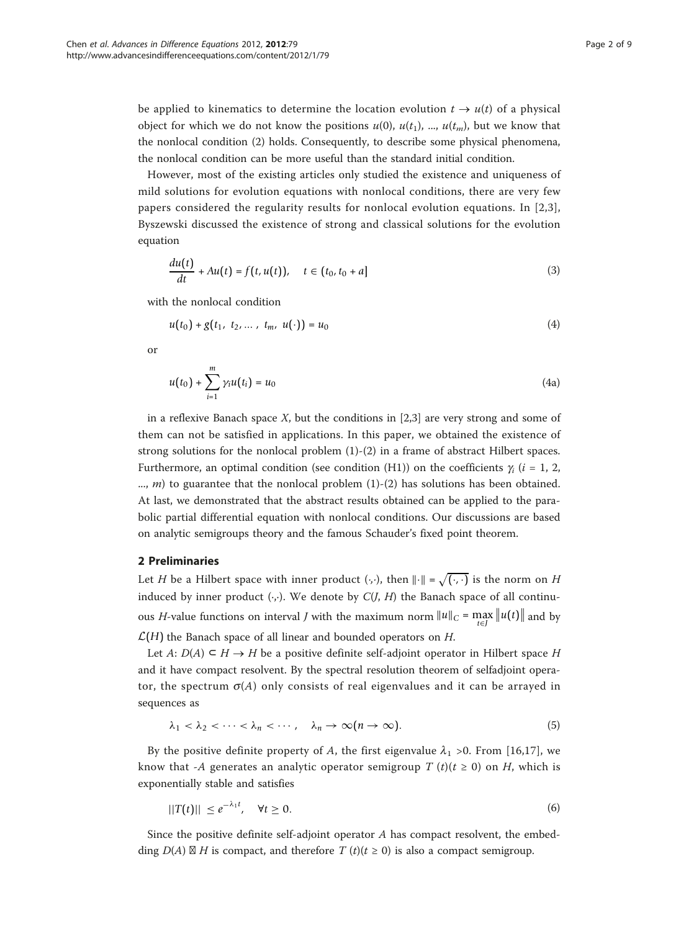be applied to kinematics to determine the location evolution  $t \to u(t)$  of a physical object for which we do not know the positions  $u(0)$ ,  $u(t_1)$ , ...,  $u(t_m)$ , but we know that the nonlocal condition (2) holds. Consequently, to describe some physical phenomena, the nonlocal condition can be more useful than the standard initial condition.

However, most of the existing articles only studied the existence and uniqueness of mild solutions for evolution equations with nonlocal conditions, there are very few papers considered the regularity results for nonlocal evolution equations. In [[2](#page-8-0),[3](#page-8-0)], Byszewski discussed the existence of strong and classical solutions for the evolution equation

$$
\frac{du(t)}{dt} + Au(t) = f(t, u(t)), \quad t \in (t_0, t_0 + a]
$$
\n(3)

with the nonlocal condition

$$
u(t_0) + g(t_1, t_2, \dots, t_m, u(\cdot)) = u_0 \tag{4}
$$

or

$$
u(t_0) + \sum_{i=1}^{m} \gamma_i u(t_i) = u_0 \tag{4a}
$$

in a reflexive Banach space X, but the conditions in [\[2,3\]](#page-8-0) are very strong and some of them can not be satisfied in applications. In this paper, we obtained the existence of strong solutions for the nonlocal problem (1)-(2) in a frame of abstract Hilbert spaces. Furthermore, an optimal condition (see condition (H1)) on the coefficients  $\gamma_i$  (i = 1, 2, ..., *m*) to guarantee that the nonlocal problem  $(1)-(2)$  has solutions has been obtained. At last, we demonstrated that the abstract results obtained can be applied to the parabolic partial differential equation with nonlocal conditions. Our discussions are based on analytic semigroups theory and the famous Schauder's fixed point theorem.

# 2 Preliminaries

Let H be a Hilbert space with inner product  $( \cdot, \cdot )$ , then  $\| \cdot \| = \sqrt{(\cdot, \cdot)}$  is the norm on H induced by inner product  $(·,·)$ . We denote by  $C(J, H)$  the Banach space of all continuous *H*-value functions on interval *J* with the maximum norm  $||u||_C = \max_{t \in J} ||u(t)||$  and by  $\mathcal{L}(H)$  the Banach space of all linear and bounded operators on  $H$ .

Let A:  $D(A) \subseteq H \rightarrow H$  be a positive definite self-adjoint operator in Hilbert space H and it have compact resolvent. By the spectral resolution theorem of selfadjoint operator, the spectrum  $\sigma(A)$  only consists of real eigenvalues and it can be arrayed in sequences as

$$
\lambda_1 < \lambda_2 < \cdots < \lambda_n < \cdots, \quad \lambda_n \to \infty \ (n \to \infty). \tag{5}
$$

By the positive definite property of A, the first eigenvalue  $\lambda_1$  >0. From [[16,17](#page-8-0)], we know that -A generates an analytic operator semigroup  $T(t)(t \ge 0)$  on H, which is exponentially stable and satisfies

$$
||T(t)|| \le e^{-\lambda_1 t}, \quad \forall t \ge 0. \tag{6}
$$

Since the positive definite self-adjoint operator A has compact resolvent, the embedding  $D(A) \boxtimes H$  is compact, and therefore  $T(t)(t \ge 0)$  is also a compact semigroup.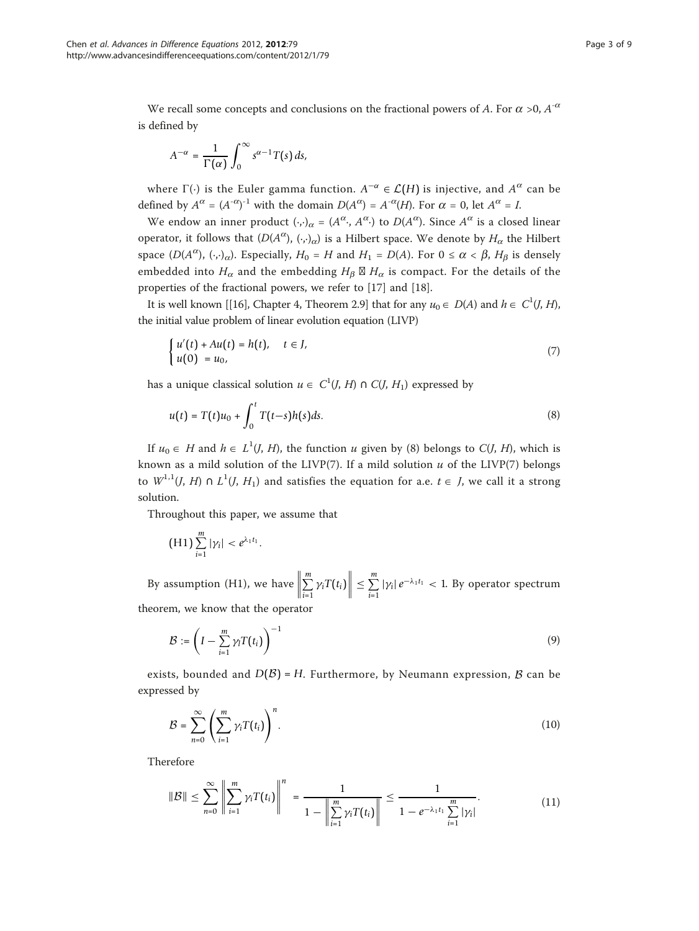We recall some concepts and conclusions on the fractional powers of A. For  $\alpha$  >0,  $A^{-\alpha}$ is defined by

$$
A^{-\alpha} = \frac{1}{\Gamma(\alpha)} \int_0^\infty s^{\alpha-1} T(s) \, ds,
$$

where  $\Gamma(\cdot)$  is the Euler gamma function.  $A^{-\alpha} \in \mathcal{L}(H)$  is injective, and  $A^{\alpha}$  can be defined by  $A^{\alpha} = (A^{-\alpha})^{-1}$  with the domain  $D(A^{\alpha}) = A^{-\alpha}(H)$ . For  $\alpha = 0$ , let  $A^{\alpha} = I$ .

We endow an inner product  $(\cdot,\cdot)_\alpha = (A^\alpha, A^\alpha)$  to  $D(A^\alpha)$ . Since  $A^\alpha$  is a closed linear operator, it follows that  $(D(A^{\alpha}), (\cdot, \cdot)_{\alpha})$  is a Hilbert space. We denote by  $H_{\alpha}$  the Hilbert space  $(D(A^{\alpha}), (\cdot,\cdot)_{\alpha})$ . Especially,  $H_0 = H$  and  $H_1 = D(A)$ . For  $0 \le \alpha < \beta$ ,  $H_{\beta}$  is densely embedded into  $H_{\alpha}$  and the embedding  $H_{\beta} \boxtimes H_{\alpha}$  is compact. For the details of the properties of the fractional powers, we refer to [\[17](#page-8-0)] and [[18\]](#page-8-0).

It is well known [[\[16\]](#page-8-0), Chapter 4, Theorem 2.9] that for any  $u_0 \in D(A)$  and  $h \in C^1(J, H)$ , the initial value problem of linear evolution equation (LIVP)

$$
\begin{cases}\n u'(t) + Au(t) = h(t), & t \in J, \\
u(0) = u_0,\n\end{cases} \tag{7}
$$

has a unique classical solution  $u \in C^1(J, H) \cap C(J, H_1)$  expressed by

$$
u(t) = T(t)u_0 + \int_0^t T(t-s)h(s)ds.
$$
 (8)

If  $u_0 \in H$  and  $h \in L^1(J, H)$ , the function u given by (8) belongs to  $C(J, H)$ , which is known as a mild solution of the LIVP(7). If a mild solution  $u$  of the LIVP(7) belongs to  $W^{1,1}(J, H) \cap L^1(J, H_1)$  and satisfies the equation for a.e.  $t \in J$ , we call it a strong solution.

Throughout this paper, we assume that

$$
(H1)\sum_{i=1}^m|\gamma_i|<\varrho^{\lambda_1t_1}.
$$

By assumption (H1), we have  $\Vert$  $\sum$ <sup>*m*</sup>  $\sum_{i=1}^{m} \gamma_i T(t_i) \Big\| \le \sum_{i=1}^{m} |\gamma_i| e^{-\lambda_1 t_1} < 1$ . By operator spectrum theorem, we know that the operator

$$
\mathcal{B} := \left(I - \sum_{i=1}^{m} \gamma_i T(t_i)\right)^{-1} \tag{9}
$$

exists, bounded and  $D(\mathcal{B}) = H$ . Furthermore, by Neumann expression,  $\mathcal{B}$  can be expressed by

$$
\mathcal{B} = \sum_{n=0}^{\infty} \left( \sum_{i=1}^{m} \gamma_i T(t_i) \right)^n.
$$
 (10)

Therefore

$$
\|\mathcal{B}\| \leq \sum_{n=0}^{\infty} \left\| \sum_{i=1}^{m} \gamma_i T(t_i) \right\|^n = \frac{1}{1 - \left\| \sum_{i=1}^{m} \gamma_i T(t_i) \right\|} \leq \frac{1}{1 - e^{-\lambda_1 t_1} \sum_{i=1}^{m} |\gamma_i|}.
$$
 (11)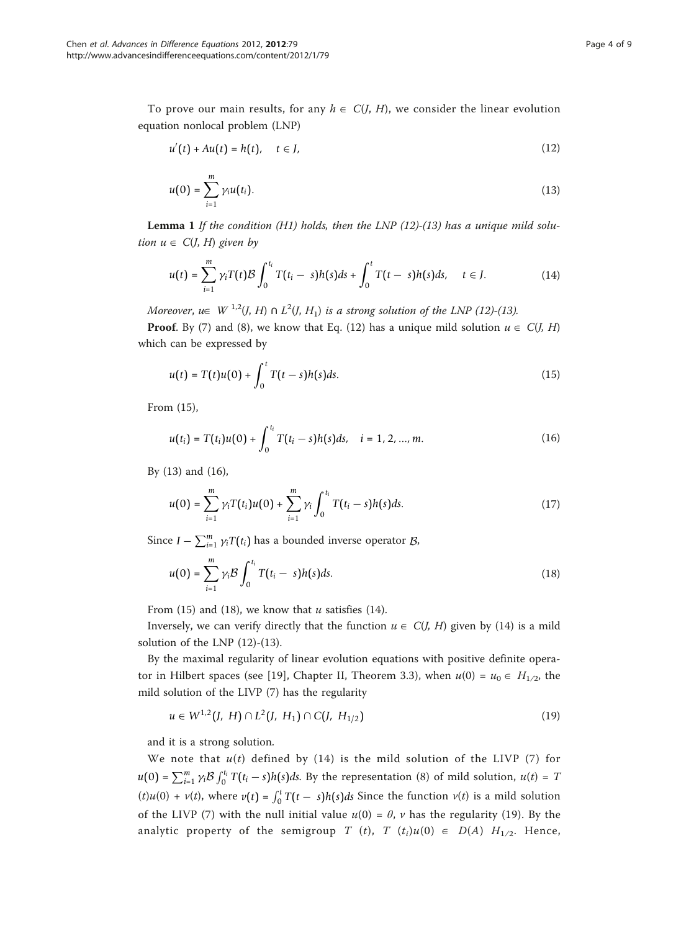To prove our main results, for any  $h \in C(J, H)$ , we consider the linear evolution equation nonlocal problem (LNP)

$$
u'(t) + Au(t) = h(t), \quad t \in J,
$$
\n
$$
(12)
$$

$$
u(0) = \sum_{i=1}^{m} \gamma_i u(t_i).
$$
 (13)

**Lemma 1** If the condition (H1) holds, then the LNP  $(12)-(13)$  has a unique mild solution  $u \in C(J, H)$  given by

$$
u(t) = \sum_{i=1}^{m} \gamma_i T(t) \mathcal{B} \int_0^{t_i} T(t_i - s) h(s) ds + \int_0^t T(t - s) h(s) ds, \quad t \in J.
$$
 (14)

Moreover, u $\in$  W <sup>1,2</sup>(J, H)  $\cap$  L<sup>2</sup>(J, H<sub>1</sub>) is a strong solution of the LNP (12)-(13).

**Proof.** By (7) and (8), we know that Eq. (12) has a unique mild solution  $u \in C(J, H)$ which can be expressed by

$$
u(t) = T(t)u(0) + \int_0^t T(t-s)h(s)ds.
$$
 (15)

From (15),

$$
u(t_i) = T(t_i)u(0) + \int_0^{t_i} T(t_i - s)h(s)ds, \quad i = 1, 2, ..., m.
$$
 (16)

By (13) and (16),

$$
u(0) = \sum_{i=1}^{m} \gamma_i T(t_i) u(0) + \sum_{i=1}^{m} \gamma_i \int_0^{t_i} T(t_i - s) h(s) ds.
$$
 (17)

Since *I* −  $\sum_{i=1}^{m} \gamma_i T(t_i)$  has a bounded inverse operator *B*,

$$
u(0) = \sum_{i=1}^{m} \gamma_i \mathcal{B} \int_0^{t_i} T(t_i - s) h(s) ds.
$$
 (18)

From (15) and (18), we know that  $u$  satisfies (14).

Inversely, we can verify directly that the function  $u \in C(J, H)$  given by (14) is a mild solution of the LNP (12)-(13).

By the maximal regularity of linear evolution equations with positive definite opera-tor in Hilbert spaces (see [[19](#page-8-0)], Chapter II, Theorem 3.3), when  $u(0) = u_0 \in H_{1/2}$ , the mild solution of the LIVP (7) has the regularity

$$
u \in W^{1,2}(J, H) \cap L^2(J, H_1) \cap C(J, H_{1/2})
$$
\n(19)

and it is a strong solution.

We note that  $u(t)$  defined by (14) is the mild solution of the LIVP (7) for  $u(0) = \sum_{i=1}^{m} \gamma_i \mathcal{B} \int_0^{t_i} T(t_i-s)h(s)ds$ . By the representation (8) of mild solution,  $u(t) = T$  $(t)u(0) + v(t)$ , where  $v(t) = \int_0^t T(t - s)h(s)ds$  Since the function  $v(t)$  is a mild solution of the LIVP (7) with the null initial value  $u(0) = \theta$ ,  $\nu$  has the regularity (19). By the analytic property of the semigroup T (t), T (t<sub>i</sub>)u(0)  $\in$  D(A) H<sub>1/2</sub>. Hence,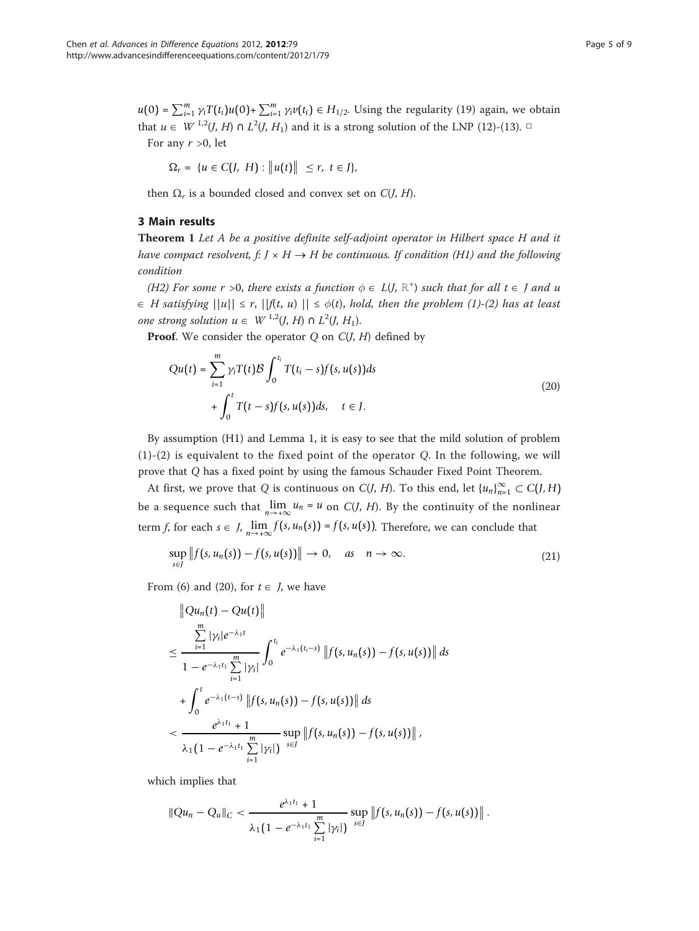$u(0) = \sum_{i=1}^{m} \gamma_i T(t_i) u(0) + \sum_{i=1}^{m} \gamma_i v(t_i) \in H_{1/2}$ . Using the regularity (19) again, we obtain that  $u \in W^{1,2}(J, H) \cap L^2(J, H_1)$  and it is a strong solution of the LNP (12)-(13). □ For any  $r > 0$ , let

$$
\Omega_r = \{ u \in C(J, H) : ||u(t)|| \le r, t \in J \},\
$$

then  $\Omega_r$  is a bounded closed and convex set on  $C(I, H)$ .

# 3 Main results

Theorem 1 Let A be a positive definite self-adjoint operator in Hilbert space H and it have compact resolvent, f:  $J \times H \rightarrow H$  be continuous. If condition (H1) and the following condition

(H2) For some r >0, there exists a function  $\phi \in L(J, \mathbb{R}^+)$  such that for all  $t \in J$  and u  $\in$  H satisfying  $||u|| \le r$ ,  $||f(t, u)|| \le \phi(t)$ , hold, then the problem (1)-(2) has at least one strong solution  $u \in W^{1,2}(J, H) \cap L^2(J, H_1)$ .

**Proof.** We consider the operator  $Q$  on  $C(J, H)$  defined by

$$
Qu(t) = \sum_{i=1}^{m} \gamma_i T(t) \mathcal{B} \int_0^{t_i} T(t_i - s) f(s, u(s)) ds
$$
  
+ 
$$
\int_0^t T(t - s) f(s, u(s)) ds, \quad t \in J.
$$
 (20)

By assumption (H1) and Lemma 1, it is easy to see that the mild solution of problem  $(1)-(2)$  is equivalent to the fixed point of the operator Q. In the following, we will prove that Q has a fixed point by using the famous Schauder Fixed Point Theorem.

At first, we prove that Q is continuous on  $C(J, H)$ . To this end, let  ${u_n}_{n=1}^{\infty} \subset C(J, H)$ be a sequence such that  $\lim_{n\to+\infty} u_n = u$  on C(*J*, *H*). By the continuity of the nonlinear term f, for each  $s \in J$ ,  $\lim_{n \to +\infty} f(s, u_n(s)) = f(s, u(s))$ . Therefore, we can conclude that

$$
\sup_{s\in J} ||f(s, u_n(s)) - f(s, u(s))|| \to 0, \quad as \quad n \to \infty.
$$
 (21)

From (6) and (20), for  $t \in J$ , we have

$$
\|Qu_n(t) - Qu(t)\|
$$
  
\n
$$
\leq \frac{\sum_{i=1}^m |\gamma_i|e^{-\lambda_1 t}}{1 - e^{-\lambda_1 t_1} \sum_{i=1}^m |\gamma_i|} \int_0^{t_i} e^{-\lambda_1 (t_i - s)} \|f(s, u_n(s)) - f(s, u(s))\| ds
$$
  
\n
$$
+ \int_0^t e^{-\lambda_1 (t-s)} \|f(s, u_n(s)) - f(s, u(s))\| ds
$$
  
\n
$$
< \frac{e^{\lambda_1 t_1} + 1}{\lambda_1 (1 - e^{-\lambda_1 t_1} \sum_{i=1}^m |\gamma_i|)^{s \in J}} \|f(s, u_n(s)) - f(s, u(s))\|,
$$

which implies that

$$
||Qu_n - Q_u||_C < \frac{e^{\lambda_1 t_1} + 1}{\lambda_1 (1 - e^{-\lambda_1 t_1} \sum_{i=1}^m |\gamma_i|)} \sup_{s \in J} ||f(s, u_n(s)) - f(s, u(s))||.
$$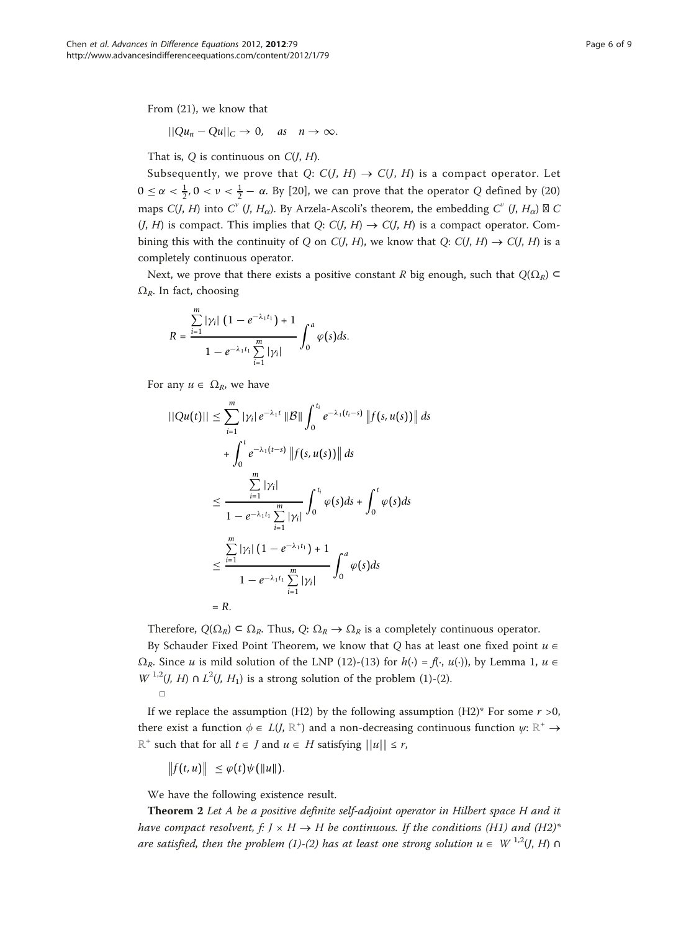From (21), we know that

$$
||Qu_n - Qu||_C \to 0, \quad \text{as} \quad n \to \infty.
$$

That is,  $Q$  is continuous on  $C(J, H)$ .

Subsequently, we prove that Q:  $C(J, H) \rightarrow C(J, H)$  is a compact operator. Let  $0 \le \alpha < \frac{1}{2}$ ,  $0 < \nu < \frac{1}{2} - \alpha$ . By [[20](#page-8-0)], we can prove that the operator Q defined by (20) maps C(J, H) into C<sup>v</sup> (J, H<sub> $\alpha$ </sub>). By Arzela-Ascoli's theorem, the embedding C<sup>v</sup> (J, H<sub> $\alpha$ </sub>)  $\boxtimes$  C  $(J, H)$  is compact. This implies that Q:  $C(J, H) \rightarrow C(J, H)$  is a compact operator. Combining this with the continuity of Q on C(J, H), we know that Q: C(J, H)  $\rightarrow$  C(J, H) is a completely continuous operator.

Next, we prove that there exists a positive constant R big enough, such that  $Q(\Omega_R) \subset$  $\Omega_R$ . In fact, choosing

$$
R = \frac{\sum_{i=1}^{m} |\gamma_i| (1 - e^{-\lambda_1 t_1}) + 1}{1 - e^{-\lambda_1 t_1} \sum_{i=1}^{m} |\gamma_i|} \int_0^a \varphi(s) ds.
$$

For any  $u \in \Omega_R$ , we have

$$
||Qu(t)|| \leq \sum_{i=1}^{m} |\gamma_i| e^{-\lambda_1 t} ||B|| \int_0^{t_i} e^{-\lambda_1 (t_i - s)} ||f(s, u(s))|| ds
$$
  
+ 
$$
\int_0^t e^{-\lambda_1 (t-s)} ||f(s, u(s))|| ds
$$
  

$$
\leq \frac{\sum_{i=1}^{m} |\gamma_i|}{1 - e^{-\lambda_1 t_1} \sum_{i=1}^{m} |\gamma_i|} \int_0^{t_i} \varphi(s) ds + \int_0^t \varphi(s) ds
$$
  

$$
\leq \frac{\sum_{i=1}^{m} |\gamma_i| (1 - e^{-\lambda_1 t_1}) + 1}{1 - e^{-\lambda_1 t_1} \sum_{i=1}^{m} |\gamma_i|} \int_0^a \varphi(s) ds
$$
  
= R.

Therefore,  $Q(\Omega_R) \subset \Omega_R$ . Thus,  $Q: \Omega_R \to \Omega_R$  is a completely continuous operator.

By Schauder Fixed Point Theorem, we know that Q has at least one fixed point  $u \in$  $\Omega_R$ . Since u is mild solution of the LNP (12)-(13) for  $h(\cdot) = f(\cdot, u(\cdot))$ , by Lemma 1,  $u \in$  $W^{1,2}(J, H) \cap L^2(J, H_1)$  is a strong solution of the problem (1)-(2). □

If we replace the assumption (H2) by the following assumption (H2)\* For some  $r > 0$ , there exist a function  $\phi \in L(J, \mathbb{R}^+)$  and a non-decreasing continuous function  $\psi: \mathbb{R}^+ \to$  $\mathbb{R}^+$  such that for all  $t \in J$  and  $u \in H$  satisfying  $||u|| \leq r$ ,

 $\|f(t, u)\| \leq \varphi(t)\psi(\|u\|).$ 

We have the following existence result.

Theorem 2 Let A be a positive definite self-adjoint operator in Hilbert space H and it have compact resolvent, f:  $J \times H \rightarrow H$  be continuous. If the conditions (H1) and (H2)<sup>\*</sup> are satisfied, then the problem (1)-(2) has at least one strong solution  $u \in W^{1,2}(J, H)$   $\cap$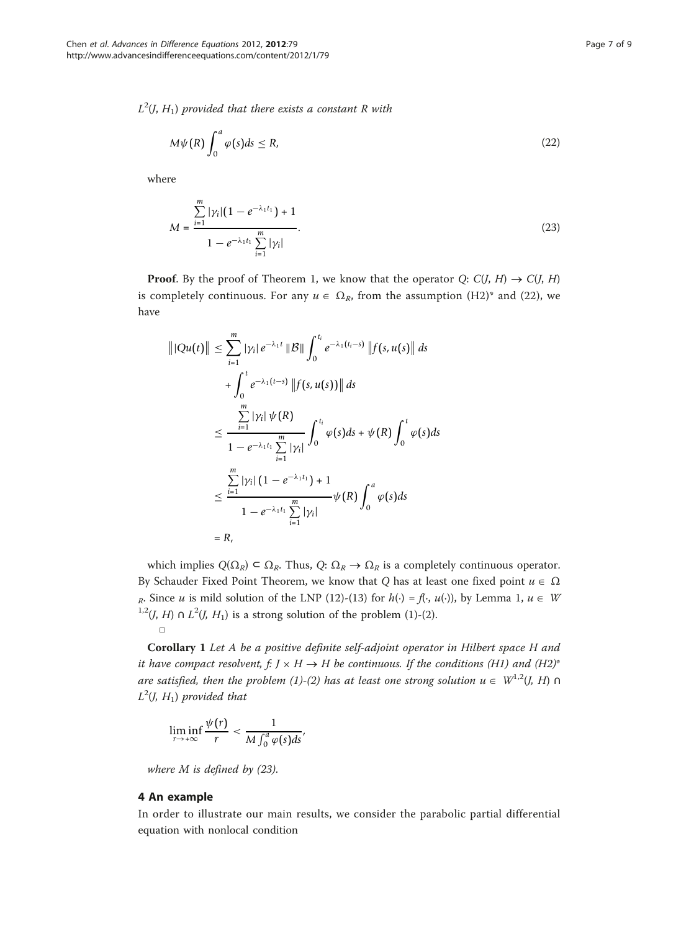$L^2(J, H_1)$  provided that there exists a constant R with

$$
M\psi(R)\int_0^a \varphi(s)ds \le R,\tag{22}
$$

where

$$
M = \frac{\sum_{i=1}^{m} |\gamma_i| (1 - e^{-\lambda_1 t_1}) + 1}{1 - e^{-\lambda_1 t_1} \sum_{i=1}^{m} |\gamma_i|}.
$$
 (23)

**Proof.** By the proof of Theorem 1, we know that the operator  $Q: C(J, H) \rightarrow C(J, H)$ is completely continuous. For any  $u \in \Omega_R$ , from the assumption (H2)\* and (22), we have

$$
\|Qu(t)\| \leq \sum_{i=1}^{m} |\gamma_i| e^{-\lambda_1 t} \|B\| \int_0^{t_i} e^{-\lambda_1 (t_i - s)} \|f(s, u(s))\| ds
$$
  
+ 
$$
\int_0^t e^{-\lambda_1 (t-s)} \|f(s, u(s))\| ds
$$
  

$$
\leq \frac{\sum_{i=1}^{m} |\gamma_i| \psi(R)}{1 - e^{-\lambda_1 t_1} \sum_{i=1}^{m} |\gamma_i|} \int_0^{t_i} \varphi(s) ds + \psi(R) \int_0^t \varphi(s) ds
$$
  

$$
\leq \frac{\sum_{i=1}^{m} |\gamma_i| (1 - e^{-\lambda_1 t_1}) + 1}{1 - e^{-\lambda_1 t_1} \sum_{i=1}^{m} |\gamma_i|} \psi(R) \int_0^a \varphi(s) ds
$$
  
= R,

which implies  $Q(\Omega_R) \subset \Omega_R$ . Thus,  $Q: \Omega_R \to \Omega_R$  is a completely continuous operator. By Schauder Fixed Point Theorem, we know that Q has at least one fixed point  $u \in \Omega$ R. Since u is mild solution of the LNP (12)-(13) for  $h(\cdot) = f(\cdot, u(\cdot))$ , by Lemma 1,  $u \in W$ <sup>1,2</sup>(*J*, *H*) ∩ *L*<sup>2</sup>(*J*, *H*<sub>1</sub>) is a strong solution of the problem (1)-(2). □

Corollary 1 Let A be a positive definite self-adjoint operator in Hilbert space H and it have compact resolvent, f:  $J \times H \rightarrow H$  be continuous. If the conditions (H1) and (H2)<sup>\*</sup> are satisfied, then the problem (1)-(2) has at least one strong solution  $u \in W^{1,2}(J, H)$   $\cap$  $L^2(J, H_1)$  provided that

$$
\liminf_{r\to+\infty}\frac{\psi(r)}{r}<\frac{1}{M\int_0^a\varphi(s)ds'}
$$

where  $M$  is defined by (23).

# 4 An example

In order to illustrate our main results, we consider the parabolic partial differential equation with nonlocal condition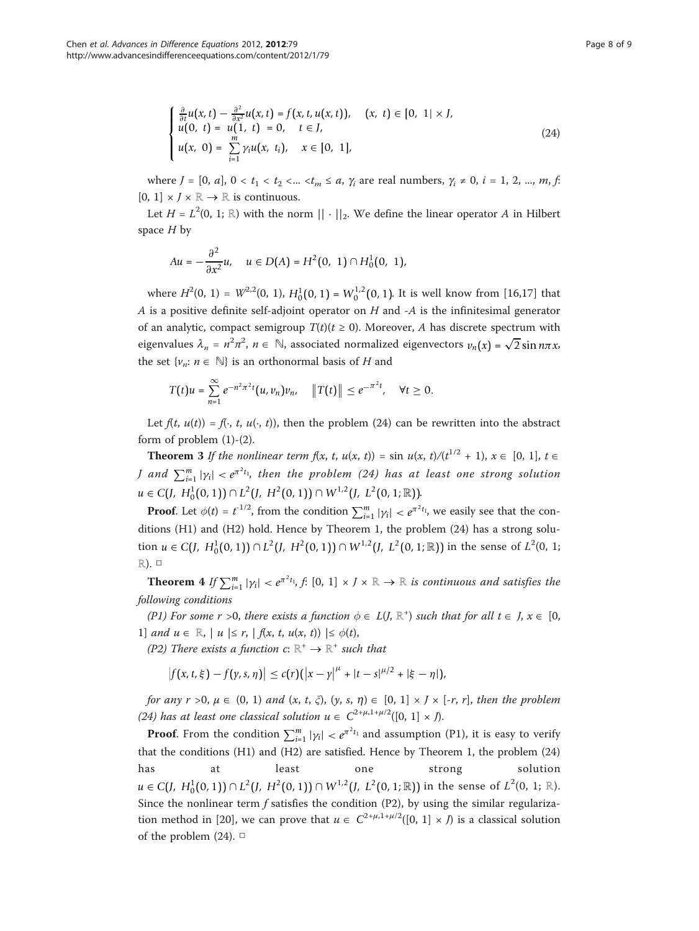$$
\begin{cases} \frac{\partial}{\partial t}u(x,t) - \frac{\partial^2}{\partial x^2}u(x,t) = f(x,t,u(x,t)), & (x, t) \in [0, 1] \times J, \\ u(0, t) = u(1, t) = 0, & t \in J, \\ u(x, 0) = \sum_{i=1}^{m} \gamma_i u(x, t_i), & x \in [0, 1], \end{cases}
$$
(24)

where  $J = [0, a], 0 < t_1 < t_2 < ... < t_m \le a$ ,  $\gamma_i$  are real numbers,  $\gamma_i \ne 0$ ,  $i = 1, 2, ..., m$ , f.  $[0, 1] \times I \times \mathbb{R} \to \mathbb{R}$  is continuous.

Let  $H = L^2(0, 1; \mathbb{R})$  with the norm  $|| \cdot ||_2$ . We define the linear operator A in Hilbert space  $H$  by

$$
Au = -\frac{\partial^2}{\partial x^2}u, \quad u \in D(A) = H^2(0, 1) \cap H_0^1(0, 1),
$$

where  $H^2(0, 1) = W^{2,2}(0, 1)$ ,  $H_0^1(0, 1) = W_0^{1,2}(0, 1)$ . It is well know from [\[16](#page-8-0),[17\]](#page-8-0) that A is a positive definite self-adjoint operator on  $H$  and  $-A$  is the infinitesimal generator of an analytic, compact semigroup  $T(t)(t \ge 0)$ . Moreover, A has discrete spectrum with eigenvalues  $\lambda_n = n^2 \pi^2$ ,  $n \in \mathbb{N}$ , associated normalized eigenvectors  $v_n(x) = \sqrt{2} \sin n\pi x$ , the set  $\{v_n: n \in \mathbb{N}\}\$ is an orthonormal basis of H and

$$
T(t)u=\sum_{n=1}^{\infty}e^{-n^2\pi^2t}(u,v_n)v_n,\quad \|T(t)\|\leq e^{-\pi^2t},\quad \forall t\geq 0.
$$

Let  $f(t, u(t)) = f(\cdot, t, u(\cdot, t))$ , then the problem (24) can be rewritten into the abstract form of problem  $(1)-(2)$ .

**Theorem 3** If the nonlinear term  $f(x, t, u(x, t)) = \sin u(x, t) / (t^{1/2} + 1), x \in [0, 1], t \in$ *J* and  $\sum_{i=1}^{m}$   $|\gamma_i|$  <  $e^{\pi^2 t_1}$ , then the problem (24) has at least one strong solution *u* ∈ *C*(*J*, *H*<sub>0</sub><sup>1</sup>(0, 1)) ∩ *L*<sup>2</sup>(*J*, *H*<sup>2</sup>(0, 1)) ∩ *W*<sup>1,2</sup>(*J*, *L*<sup>2</sup>(0, 1; ℝ)).

**Proof.** Let  $\phi(t) = t^{-1/2}$ , from the condition  $\sum_{i=1}^{m} |\gamma_i| < e^{\pi^2 t_i}$ , we easily see that the conditions (H1) and (H2) hold. Hence by Theorem 1, the problem (24) has a strong solution *u* ∈ *C*(*J*, *H*<sup>1</sup><sub>0</sub>(0, 1)) ∩ *L*<sup>2</sup>(*J*, *H*<sup>2</sup>(0, 1)) ∩ *W*<sup>1,2</sup>(*J*, *L*<sup>2</sup>(0, 1; ℝ)) in the sense of *L*<sup>2</sup>(0, 1; ℝ). □

**Theorem** 4 If  $\sum_{i=1}^{m} |\gamma_i| < e^{\pi^2 t_1}$ , f: [0, 1] × J × R  $\rightarrow$  R is continuous and satisfies the following conditions

(P1) For some r >0, there exists a function  $\phi \in L(J, \mathbb{R}^+)$  such that for all  $t \in J$ ,  $x \in [0,$ 1] and  $u \in \mathbb{R}$ ,  $| u | \leq r$ ,  $| f(x, t, u(x, t)) | \leq \phi(t)$ ,

(P2) There exists a function c:  $\mathbb{R}^+ \to \mathbb{R}^+$  such that

$$
\left|f(x,t,\xi)-f(y,s,\eta)\right|\leq c(r)(\left|x-y\right|^{\mu}+|t-s|^{\mu/2}+|\xi-\eta|),
$$

for any  $r > 0$ ,  $\mu \in (0, 1)$  and  $(x, t, \zeta)$ ,  $(y, s, \eta) \in [0, 1] \times J \times [-r, r]$ , then the problem (24) has at least one classical solution  $u \in C^{2+\mu,1+\mu/2}([0, 1] \times J)$ .

**Proof.** From the condition  $\sum_{i=1}^{m} |\gamma_i| < e^{\pi^2 t_1}$  and assumption (P1), it is easy to verify that the conditions (H1) and (H2) are satisfied. Hence by Theorem 1, the problem (24) has at least one strong solution *u* ∈ *C*(*J*,  $H_0^1(0, 1)$ ) ∩  $L^2$ (*J*,  $H^2(0, 1)$ ) ∩  $W^{1,2}($ *J*,  $L^2(0, 1; \mathbb{R})$ ) in the sense of  $L^2(0, 1; \mathbb{R})$ . Since the nonlinear term  $f$  satisfies the condition (P2), by using the similar regulariza-tion method in [\[20](#page-8-0)], we can prove that  $u \in C^{2+\mu,1+\mu/2}([0, 1] \times J)$  is a classical solution of the problem (24).  $\Box$